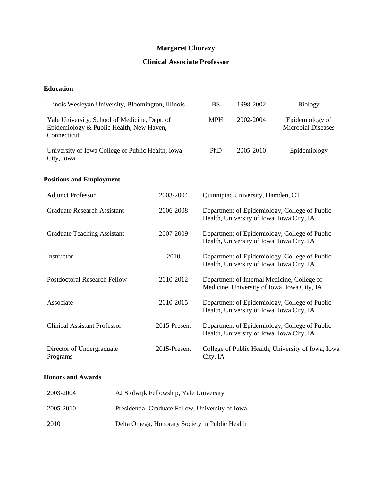# **Margaret Chorazy**

## **Clinical Associate Professor**

## **Education**

| Illinois Wesleyan University, Bloomington, Illinois                                                      |              | <b>BS</b>                                                                                  | 1998-2002                                 | <b>Biology</b>                                                                             |
|----------------------------------------------------------------------------------------------------------|--------------|--------------------------------------------------------------------------------------------|-------------------------------------------|--------------------------------------------------------------------------------------------|
| Yale University, School of Medicine, Dept. of<br>Epidemiology & Public Health, New Haven,<br>Connecticut |              | <b>MPH</b>                                                                                 | 2002-2004                                 | Epidemiology of<br><b>Microbial Diseases</b>                                               |
| University of Iowa College of Public Health, Iowa<br>City, Iowa                                          |              | PhD                                                                                        | 2005-2010                                 | Epidemiology                                                                               |
| <b>Positions and Employment</b>                                                                          |              |                                                                                            |                                           |                                                                                            |
| <b>Adjunct Professor</b>                                                                                 | 2003-2004    | Quinnipiac University, Hamden, CT                                                          |                                           |                                                                                            |
| <b>Graduate Research Assistant</b>                                                                       | 2006-2008    | Department of Epidemiology, College of Public<br>Health, University of Iowa, Iowa City, IA |                                           |                                                                                            |
| <b>Graduate Teaching Assistant</b>                                                                       | 2007-2009    |                                                                                            | Health, University of Iowa, Iowa City, IA | Department of Epidemiology, College of Public                                              |
| Instructor                                                                                               | 2010         |                                                                                            | Health, University of Iowa, Iowa City, IA | Department of Epidemiology, College of Public                                              |
| <b>Postdoctoral Research Fellow</b>                                                                      | 2010-2012    |                                                                                            |                                           | Department of Internal Medicine, College of<br>Medicine, University of Iowa, Iowa City, IA |
| Associate                                                                                                | 2010-2015    |                                                                                            | Health, University of Iowa, Iowa City, IA | Department of Epidemiology, College of Public                                              |
| <b>Clinical Assistant Professor</b>                                                                      | 2015-Present |                                                                                            | Health, University of Iowa, Iowa City, IA | Department of Epidemiology, College of Public                                              |
| Director of Undergraduate<br>Programs                                                                    | 2015-Present | City, IA                                                                                   |                                           | College of Public Health, University of Iowa, Iowa                                         |

## **Honors and Awards**

| 2003-2004 | AJ Stolwijk Fellowship, Yale University          |
|-----------|--------------------------------------------------|
| 2005-2010 | Presidential Graduate Fellow, University of Iowa |
| 2010      | Delta Omega, Honorary Society in Public Health   |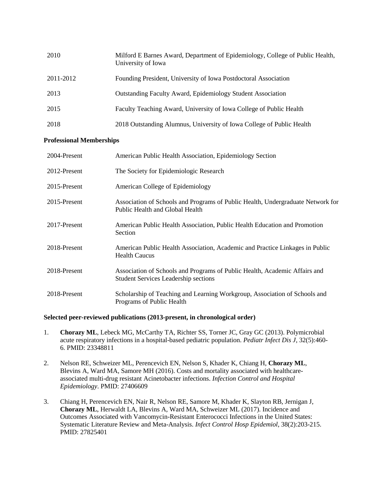| 2010      | Milford E Barnes Award, Department of Epidemiology, College of Public Health,<br>University of Iowa |
|-----------|-----------------------------------------------------------------------------------------------------|
| 2011-2012 | Founding President, University of Iowa Postdoctoral Association                                     |
| 2013      | <b>Outstanding Faculty Award, Epidemiology Student Association</b>                                  |
| 2015      | Faculty Teaching Award, University of Iowa College of Public Health                                 |
| 2018      | 2018 Outstanding Alumnus, University of Iowa College of Public Health                               |

## **Professional Memberships**

| 2004-Present | American Public Health Association, Epidemiology Section                                                                  |
|--------------|---------------------------------------------------------------------------------------------------------------------------|
| 2012-Present | The Society for Epidemiologic Research                                                                                    |
| 2015-Present | American College of Epidemiology                                                                                          |
| 2015-Present | Association of Schools and Programs of Public Health, Undergraduate Network for<br>Public Health and Global Health        |
| 2017-Present | American Public Health Association, Public Health Education and Promotion<br>Section                                      |
| 2018-Present | American Public Health Association, Academic and Practice Linkages in Public<br><b>Health Caucus</b>                      |
| 2018-Present | Association of Schools and Programs of Public Health, Academic Affairs and<br><b>Student Services Leadership sections</b> |
| 2018-Present | Scholarship of Teaching and Learning Workgroup, Association of Schools and<br>Programs of Public Health                   |

## **Selected peer-reviewed publications (2013-present, in chronological order)**

- 1. **Chorazy ML**, Lebeck MG, McCarthy TA, Richter SS, Torner JC, Gray GC (2013). Polymicrobial acute respiratory infections in a hospital-based pediatric population. *Pediatr Infect Dis J*, 32(5):460- 6. PMID: 23348811
- 2. Nelson RE, Schweizer ML, Perencevich EN, Nelson S, Khader K, Chiang H, **Chorazy ML**, Blevins A, Ward MA, Samore MH (2016). Costs and mortality associated with healthcareassociated multi-drug resistant Acinetobacter infections. *Infection Control and Hospital Epidemiology*. PMID: 27406609
- 3. Chiang H, Perencevich EN, Nair R, Nelson RE, Samore M, Khader K, Slayton RB, Jernigan J, **Chorazy ML**, Herwaldt LA, Blevins A, Ward MA, Schweizer ML (2017). Incidence and Outcomes Associated with Vancomycin-Resistant Enterococci Infections in the United States: Systematic Literature Review and Meta-Analysis. *Infect Control Hosp Epidemiol*, 38(2):203-215. PMID: 27825401